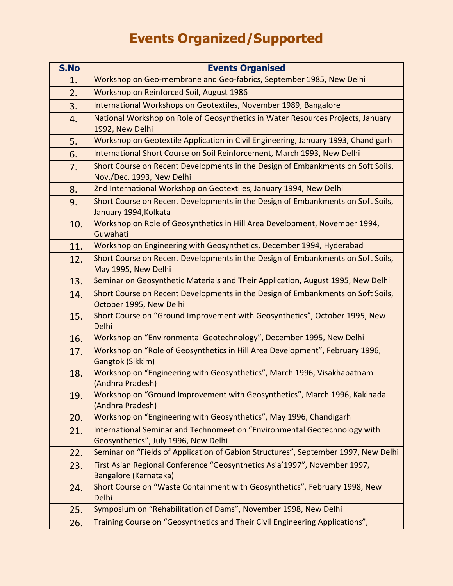## **Events Organized/Supported**

| S.No | <b>Events Organised</b>                                                                                           |
|------|-------------------------------------------------------------------------------------------------------------------|
| 1.   | Workshop on Geo-membrane and Geo-fabrics, September 1985, New Delhi                                               |
| 2.   | Workshop on Reinforced Soil, August 1986                                                                          |
| 3.   | International Workshops on Geotextiles, November 1989, Bangalore                                                  |
| 4.   | National Workshop on Role of Geosynthetics in Water Resources Projects, January<br>1992, New Delhi                |
| 5.   | Workshop on Geotextile Application in Civil Engineering, January 1993, Chandigarh                                 |
| 6.   | International Short Course on Soil Reinforcement, March 1993, New Delhi                                           |
| 7.   | Short Course on Recent Developments in the Design of Embankments on Soft Soils,<br>Nov./Dec. 1993, New Delhi      |
| 8.   | 2nd International Workshop on Geotextiles, January 1994, New Delhi                                                |
| 9.   | Short Course on Recent Developments in the Design of Embankments on Soft Soils,<br>January 1994, Kolkata          |
| 10.  | Workshop on Role of Geosynthetics in Hill Area Development, November 1994,<br>Guwahati                            |
| 11.  | Workshop on Engineering with Geosynthetics, December 1994, Hyderabad                                              |
| 12.  | Short Course on Recent Developments in the Design of Embankments on Soft Soils,<br>May 1995, New Delhi            |
| 13.  | Seminar on Geosynthetic Materials and Their Application, August 1995, New Delhi                                   |
| 14.  | Short Course on Recent Developments in the Design of Embankments on Soft Soils,<br>October 1995, New Delhi        |
| 15.  | Short Course on "Ground Improvement with Geosynthetics", October 1995, New<br>Delhi                               |
| 16.  | Workshop on "Environmental Geotechnology", December 1995, New Delhi                                               |
| 17.  | Workshop on "Role of Geosynthetics in Hill Area Development", February 1996,<br>Gangtok (Sikkim)                  |
| 18.  | Workshop on "Engineering with Geosynthetics", March 1996, Visakhapatnam<br>(Andhra Pradesh)                       |
| 19.  | Workshop on "Ground Improvement with Geosynthetics", March 1996, Kakinada<br>(Andhra Pradesh)                     |
| 20.  | Workshop on "Engineering with Geosynthetics", May 1996, Chandigarh                                                |
| 21.  | International Seminar and Technomeet on "Environmental Geotechnology with<br>Geosynthetics", July 1996, New Delhi |
| 22.  | Seminar on "Fields of Application of Gabion Structures", September 1997, New Delhi                                |
| 23.  | First Asian Regional Conference "Geosynthetics Asia'1997", November 1997,<br>Bangalore (Karnataka)                |
| 24.  | Short Course on "Waste Containment with Geosynthetics", February 1998, New<br>Delhi                               |
| 25.  | Symposium on "Rehabilitation of Dams", November 1998, New Delhi                                                   |
| 26.  | Training Course on "Geosynthetics and Their Civil Engineering Applications",                                      |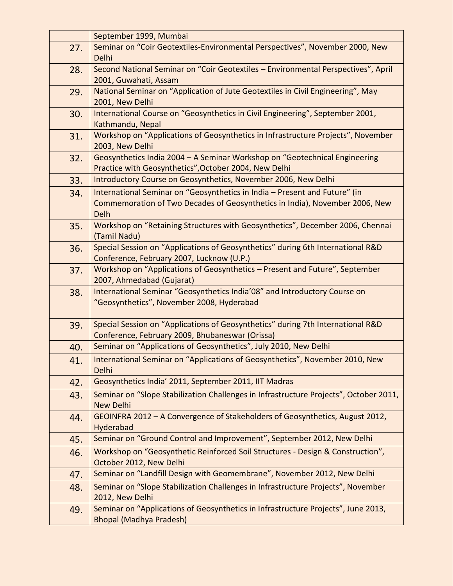|     | September 1999, Mumbai                                                                                                              |
|-----|-------------------------------------------------------------------------------------------------------------------------------------|
| 27. | Seminar on "Coir Geotextiles-Environmental Perspectives", November 2000, New                                                        |
|     | Delhi                                                                                                                               |
| 28. | Second National Seminar on "Coir Geotextiles - Environmental Perspectives", April                                                   |
|     | 2001, Guwahati, Assam                                                                                                               |
| 29. | National Seminar on "Application of Jute Geotextiles in Civil Engineering", May<br>2001, New Delhi                                  |
| 30. | International Course on "Geosynthetics in Civil Engineering", September 2001,<br>Kathmandu, Nepal                                   |
| 31. | Workshop on "Applications of Geosynthetics in Infrastructure Projects", November<br>2003, New Delhi                                 |
| 32. | Geosynthetics India 2004 - A Seminar Workshop on "Geotechnical Engineering<br>Practice with Geosynthetics", October 2004, New Delhi |
| 33. | Introductory Course on Geosynthetics, November 2006, New Delhi                                                                      |
| 34. | International Seminar on "Geosynthetics in India - Present and Future" (in                                                          |
|     | Commemoration of Two Decades of Geosynthetics in India), November 2006, New<br>Delh                                                 |
| 35. | Workshop on "Retaining Structures with Geosynthetics", December 2006, Chennai<br>(Tamil Nadu)                                       |
| 36. | Special Session on "Applications of Geosynthetics" during 6th International R&D<br>Conference, February 2007, Lucknow (U.P.)        |
| 37. | Workshop on "Applications of Geosynthetics - Present and Future", September<br>2007, Ahmedabad (Gujarat)                            |
| 38. | International Seminar "Geosynthetics India'08" and Introductory Course on<br>"Geosynthetics", November 2008, Hyderabad              |
| 39. | Special Session on "Applications of Geosynthetics" during 7th International R&D<br>Conference, February 2009, Bhubaneswar (Orissa)  |
| 40. | Seminar on "Applications of Geosynthetics", July 2010, New Delhi                                                                    |
| 41. | International Seminar on "Applications of Geosynthetics", November 2010, New<br>Delhi                                               |
| 42. | Geosynthetics India' 2011, September 2011, IIT Madras                                                                               |
| 43. | Seminar on "Slope Stabilization Challenges in Infrastructure Projects", October 2011,<br><b>New Delhi</b>                           |
| 44. | GEOINFRA 2012 - A Convergence of Stakeholders of Geosynthetics, August 2012,<br>Hyderabad                                           |
| 45. | Seminar on "Ground Control and Improvement", September 2012, New Delhi                                                              |
| 46. | Workshop on "Geosynthetic Reinforced Soil Structures - Design & Construction",<br>October 2012, New Delhi                           |
| 47. | Seminar on "Landfill Design with Geomembrane", November 2012, New Delhi                                                             |
| 48. | Seminar on "Slope Stabilization Challenges in Infrastructure Projects", November<br>2012, New Delhi                                 |
| 49. | Seminar on "Applications of Geosynthetics in Infrastructure Projects", June 2013,<br><b>Bhopal (Madhya Pradesh)</b>                 |